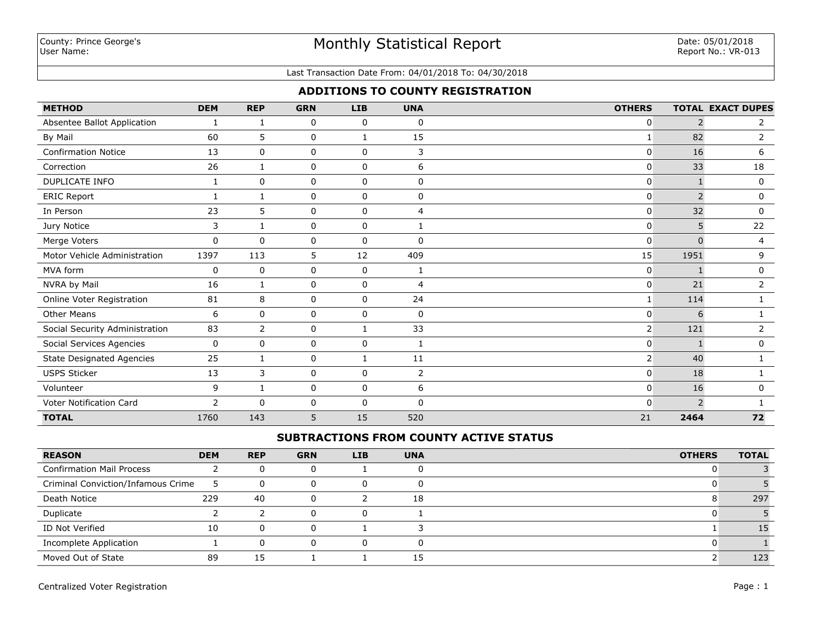#### Last Transaction Date From: 04/01/2018 To: 04/30/2018

## **ADDITIONS TO COUNTY REGISTRATION**

| <b>METHOD</b>                    | <b>DEM</b>   | <b>REP</b>   | <b>GRN</b> | <b>LIB</b>  | <b>UNA</b>     | <b>OTHERS</b>  |                | <b>TOTAL EXACT DUPES</b> |
|----------------------------------|--------------|--------------|------------|-------------|----------------|----------------|----------------|--------------------------|
| Absentee Ballot Application      | $\mathbf{1}$ | 1            | 0          | $\mathbf 0$ | 0              | $\mathbf{0}$   | 2              | $\mathbf{2}^{\prime}$    |
| By Mail                          | 60           | 5            | 0          | 1           | 15             |                | 82             | 2                        |
| <b>Confirmation Notice</b>       | 13           | 0            | 0          | 0           | 3              | 0              | 16             | 6                        |
| Correction                       | 26           | 1            | 0          | $\mathbf 0$ | 6              | $\mathbf{0}$   | 33             | 18                       |
| <b>DUPLICATE INFO</b>            | 1            | $\mathbf 0$  | 0          | 0           | $\Omega$       | 0              |                | $\mathbf 0$              |
| <b>ERIC Report</b>               |              |              | 0          | 0           | $\Omega$       | $\mathbf 0$    | $\overline{2}$ | $\mathbf 0$              |
| In Person                        | 23           | 5            | 0          | 0           | 4              | $\mathbf 0$    | 32             | 0                        |
| Jury Notice                      | 3            | 1            | 0          | $\mathbf 0$ | 1              | $\mathbf{0}$   | 5              | 22                       |
| Merge Voters                     | $\mathbf 0$  | $\mathbf{0}$ | 0          | 0           | $\Omega$       | $\mathbf{0}$   | <sup>0</sup>   | 4                        |
| Motor Vehicle Administration     | 1397         | 113          | 5          | 12          | 409            | 15             | 1951           | 9                        |
| MVA form                         | 0            | $\mathbf 0$  | 0          | $\mathbf 0$ | 1              | $\mathbf{0}$   |                | $\mathbf{0}$             |
| NVRA by Mail                     | 16           | $\mathbf{1}$ | 0          | 0           | 4              | 0              | 21             | $\overline{2}$           |
| Online Voter Registration        | 81           | 8            | 0          | 0           | 24             |                | 114            | $\mathbf{1}$             |
| <b>Other Means</b>               | 6            | $\mathbf 0$  | 0          | $\mathbf 0$ | $\Omega$       | $\mathbf{0}$   | 6              |                          |
| Social Security Administration   | 83           | 2            | 0          |             | 33             | $\overline{2}$ | 121            | $\overline{2}$           |
| Social Services Agencies         | 0            | 0            | 0          | 0           | 1              | 0              |                | 0                        |
| <b>State Designated Agencies</b> | 25           | 1            | 0          | 1           | 11             | $\overline{2}$ | 40             | 1                        |
| <b>USPS Sticker</b>              | 13           | 3            | 0          | $\mathbf 0$ | $\overline{2}$ | $\mathbf{0}$   | 18             | 1                        |
| Volunteer                        | 9            | $\mathbf{1}$ | 0          | $\mathbf 0$ | 6              | $\mathbf{0}$   | 16             | $\mathbf 0$              |
| Voter Notification Card          | 2            | $\mathbf 0$  | 0          | 0           | $\mathbf 0$    | $\mathbf{0}$   | 2              |                          |
| <b>TOTAL</b>                     | 1760         | 143          | 5          | 15          | 520            | 21             | 2464           | 72                       |

# **SUBTRACTIONS FROM COUNTY ACTIVE STATUS**

| <b>REASON</b>                      | <b>DEM</b> | <b>REP</b> | <b>GRN</b> | <b>LIB</b> | <b>UNA</b> | <b>OTHERS</b> | <b>TOTAL</b> |
|------------------------------------|------------|------------|------------|------------|------------|---------------|--------------|
| <b>Confirmation Mail Process</b>   |            |            |            |            |            |               |              |
| Criminal Conviction/Infamous Crime | ∍          | 0          |            |            |            |               |              |
| Death Notice                       | 229        | 40         |            |            | 18         |               | 297          |
| Duplicate                          |            |            |            |            |            |               |              |
| ID Not Verified                    | 10         |            |            |            |            |               |              |
| Incomplete Application             |            |            |            |            |            |               |              |
| Moved Out of State                 | 89         | 15         |            |            | 15         |               | 123          |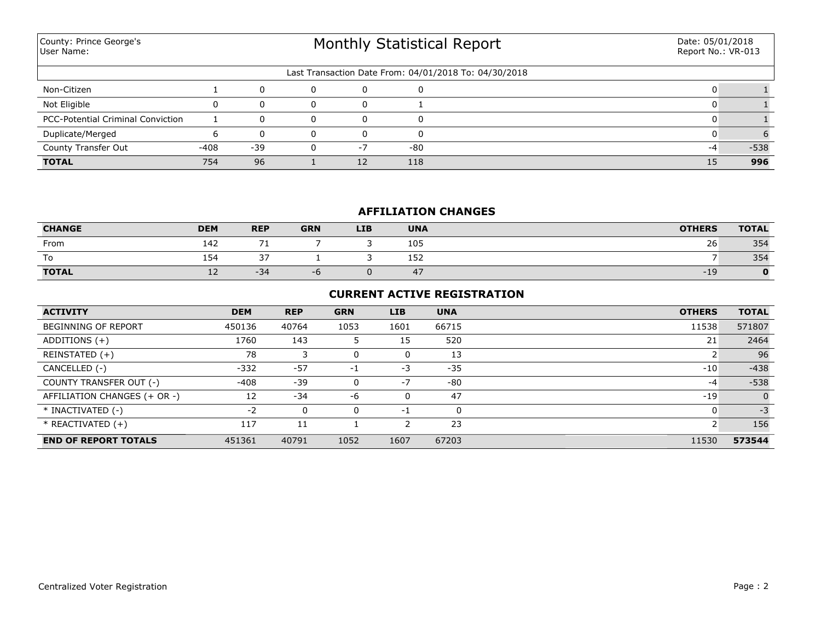| County: Prince George's<br>User Name: |        |       | Monthly Statistical Report | Date: 05/01/2018<br>Report No.: VR-013 |     |                                                       |  |        |
|---------------------------------------|--------|-------|----------------------------|----------------------------------------|-----|-------------------------------------------------------|--|--------|
|                                       |        |       |                            |                                        |     | Last Transaction Date From: 04/01/2018 To: 04/30/2018 |  |        |
| Non-Citizen                           |        | 0     | $\Omega$                   | 0                                      |     |                                                       |  |        |
| Not Eligible                          | n.     |       |                            | $\Omega$                               |     |                                                       |  |        |
| PCC-Potential Criminal Conviction     |        |       |                            | 0                                      | ſ   |                                                       |  |        |
| Duplicate/Merged                      |        |       |                            | 0                                      |     |                                                       |  |        |
| County Transfer Out                   | $-408$ | $-39$ |                            | $-7$                                   | -80 |                                                       |  | $-538$ |
| <b>TOTAL</b>                          | 754    | 96    |                            | 12                                     | 118 |                                                       |  | 996    |

## **AFFILIATION CHANGES**

| <b>CHANGE</b> | <b>DEM</b> | <b>REP</b>               | <b>GRN</b> | <b>LIB</b> | <b>UNA</b>    | <b>OTHERS</b> | <b>TOTAL</b> |
|---------------|------------|--------------------------|------------|------------|---------------|---------------|--------------|
| From          | 142        | $\overline{\phantom{a}}$ |            |            | 105           | 26            | 354          |
| To            | 154        | $\sim$<br>. ب            |            |            | 152<br>$\sim$ |               | 354          |
| <b>TOTAL</b>  | ᅩᄼ         | $-34$                    | -0         |            | 47            | $-19$         |              |

## **CURRENT ACTIVE REGISTRATION**

| <b>ACTIVITY</b>              | <b>DEM</b> | <b>REP</b> | <b>GRN</b> | LIB  | <b>UNA</b> | <b>OTHERS</b> | <b>TOTAL</b>   |
|------------------------------|------------|------------|------------|------|------------|---------------|----------------|
| <b>BEGINNING OF REPORT</b>   | 450136     | 40764      | 1053       | 1601 | 66715      | 11538         | 571807         |
| ADDITIONS $(+)$              | 1760       | 143        | 5          | 15   | 520        | 21            | 2464           |
| REINSTATED (+)               | 78         |            | 0          | 0    | 13         |               | 96             |
| CANCELLED (-)                | $-332$     | $-57$      | -1         | -3   | $-35$      | $-10$         | $-438$         |
| COUNTY TRANSFER OUT (-)      | $-408$     | $-39$      | 0          | $-7$ | -80        | $-4$          | $-538$         |
| AFFILIATION CHANGES (+ OR -) | 12         | $-34$      | -6         | 0    | 47         | $-19$         | $\overline{0}$ |
| * INACTIVATED (-)            | $-2$       |            | 0          | -1   | $\Omega$   | 0             | $-3$           |
| $*$ REACTIVATED $(+)$        | 117        | 11         |            |      | 23         |               | 156            |
| <b>END OF REPORT TOTALS</b>  | 451361     | 40791      | 1052       | 1607 | 67203      | 11530         | 573544         |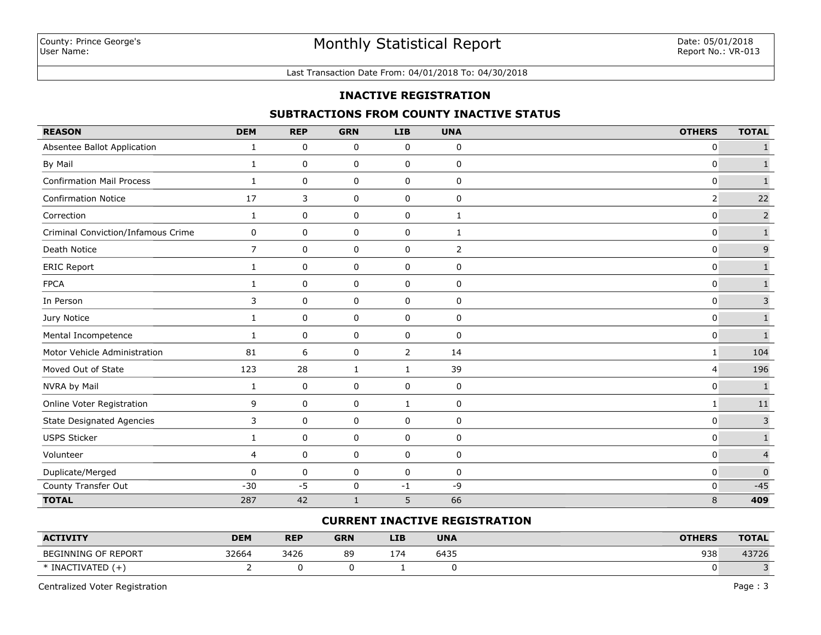#### Last Transaction Date From: 04/01/2018 To: 04/30/2018

### **INACTIVE REGISTRATION**

### **SUBTRACTIONS FROM COUNTY INACTIVE STATUS**

| <b>REASON</b>                      | <b>DEM</b>     | <b>REP</b>  | <b>GRN</b>   | <b>LIB</b>   | <b>UNA</b>     | <b>OTHERS</b>  | <b>TOTAL</b>   |
|------------------------------------|----------------|-------------|--------------|--------------|----------------|----------------|----------------|
| Absentee Ballot Application        | 1              | 0           | 0            | 0            | 0              | 0              | $\mathbf{1}$   |
| By Mail                            | $\mathbf{1}$   | 0           | 0            | 0            | 0              | $\Omega$       | $\mathbf{1}$   |
| <b>Confirmation Mail Process</b>   | $\mathbf{1}$   | 0           | 0            | 0            | 0              | 0              | $\mathbf 1$    |
| <b>Confirmation Notice</b>         | 17             | 3           | 0            | 0            | $\pmb{0}$      | $\overline{2}$ | 22             |
| Correction                         | $\mathbf{1}$   | 0           | 0            | 0            | 1              | $\mathbf{0}$   | $\mathsf{2}$   |
| Criminal Conviction/Infamous Crime | 0              | 0           | 0            | 0            | 1              | 0              | $\mathbf 1$    |
| Death Notice                       | $\overline{7}$ | $\mathbf 0$ | 0            | 0            | $\overline{2}$ | $\mathbf 0$    | $\mathsf 9$    |
| <b>ERIC Report</b>                 | $\mathbf{1}$   | 0           | 0            | 0            | 0              | 0              | $\mathbf 1$    |
| <b>FPCA</b>                        | 1              | 0           | 0            | 0            | 0              | 0              | $\mathbf 1$    |
| In Person                          | 3              | $\mathbf 0$ | 0            | 0            | 0              | $\mathbf{0}$   | $\overline{3}$ |
| Jury Notice                        | $\mathbf{1}$   | 0           | $\mathsf 0$  | $\pmb{0}$    | 0              | $\mathbf 0$    | $\mathbf 1$    |
| Mental Incompetence                | $\mathbf{1}$   | 0           | 0            | 0            | 0              | 0              | $\mathbf{1}$   |
| Motor Vehicle Administration       | 81             | 6           | 0            | 2            | 14             | 1              | 104            |
| Moved Out of State                 | 123            | 28          | $\mathbf 1$  | $\mathbf{1}$ | 39             | 4              | 196            |
| NVRA by Mail                       | $\mathbf{1}$   | 0           | 0            | 0            | 0              | $\mathbf 0$    | $\mathbf{1}$   |
| Online Voter Registration          | 9              | 0           | 0            | $\mathbf{1}$ | 0              | 1              | $11\,$         |
| <b>State Designated Agencies</b>   | 3              | 0           | $\mathsf 0$  | 0            | $\pmb{0}$      | $\mathbf 0$    | $\mathbf{3}$   |
| <b>USPS Sticker</b>                | $\mathbf{1}$   | 0           | 0            | 0            | 0              | $\mathbf 0$    | $\mathbf 1$    |
| Volunteer                          | $\overline{4}$ | 0           | 0            | 0            | 0              | $\mathbf{0}$   | $\overline{4}$ |
| Duplicate/Merged                   | $\mathbf 0$    | 0           | 0            | 0            | 0              | 0              | $\mathbf 0$    |
| County Transfer Out                | $-30$          | $-5$        | 0            | $-1$         | -9             | 0              | $-45$          |
| <b>TOTAL</b>                       | 287            | 42          | $\mathbf{1}$ | 5            | 66             | 8              | 409            |

### **CURRENT INACTIVE REGISTRATION**

| <b>ACTIVITY</b>     | <b>DEM</b> | <b>REP</b> | <b>GRN</b> | LIB | <b>UNA</b> | <b>OTHERS</b> | <b>TOTAL</b> |
|---------------------|------------|------------|------------|-----|------------|---------------|--------------|
| BEGINNING OF REPORT | 32664      | 3426       | 89         | 174 | 6435       | 938           | 43726        |
| * INACTIVATED       |            |            |            |     |            |               |              |